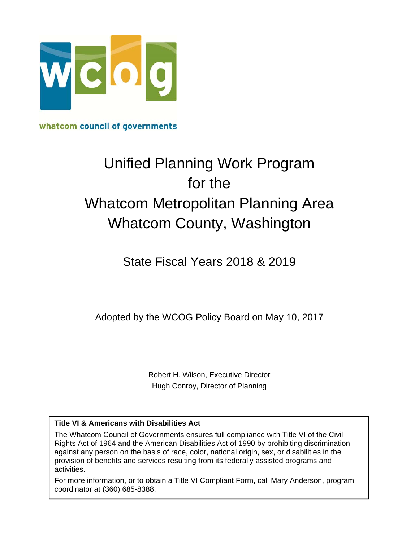

whatcom council of governments

# Unified Planning Work Program for the Whatcom Metropolitan Planning Area Whatcom County, Washington

### State Fiscal Years 2018 & 2019

Adopted by the WCOG Policy Board on May 10, 2017

Robert H. Wilson, Executive Director Hugh Conroy, Director of Planning

#### **Title VI & Americans with Disabilities Act**

The Whatcom Council of Governments ensures full compliance with Title VI of the Civil Rights Act of 1964 and the American Disabilities Act of 1990 by prohibiting discrimination against any person on the basis of race, color, national origin, sex, or disabilities in the provision of benefits and services resulting from its federally assisted programs and activities.

For more information, or to obtain a Title VI Compliant Form, call Mary Anderson, program coordinator at (360) 685-8388.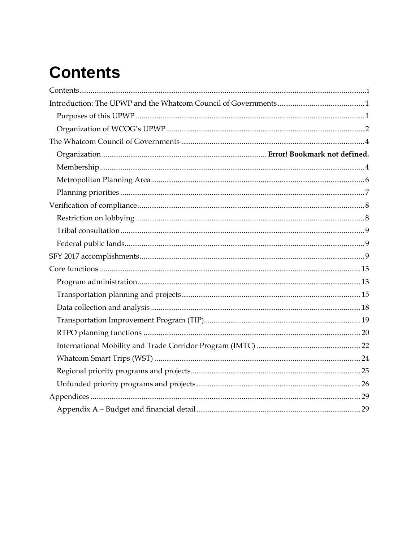# **Contents**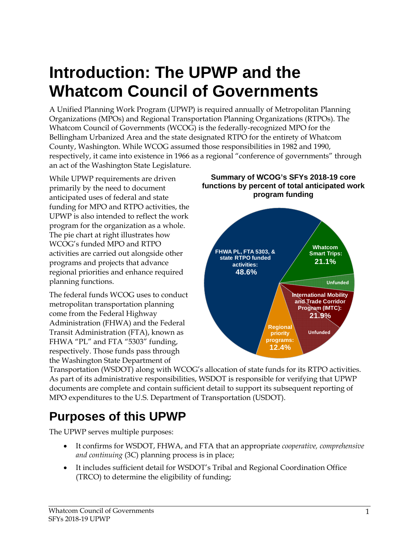# **Introduction: The UPWP and the Whatcom Council of Governments**

A Unified Planning Work Program (UPWP) is required annually of Metropolitan Planning Organizations (MPOs) and Regional Transportation Planning Organizations (RTPOs). The Whatcom Council of Governments (WCOG) is the federally-recognized MPO for the Bellingham Urbanized Area and the state designated RTPO for the entirety of Whatcom County, Washington. While WCOG assumed those responsibilities in 1982 and 1990, respectively, it came into existence in 1966 as a regional "conference of governments" through an act of the Washington State Legislature.

While UPWP requirements are driven primarily by the need to document anticipated uses of federal and state funding for MPO and RTPO activities, the UPWP is also intended to reflect the work program for the organization as a whole. The pie chart at right illustrates how WCOG's funded MPO and RTPO activities are carried out alongside other programs and projects that advance regional priorities and enhance required planning functions.

The federal funds WCOG uses to conduct metropolitan transportation planning come from the Federal Highway Administration (FHWA) and the Federal Transit Administration (FTA), known as FHWA "PL" and FTA "5303" funding, respectively. Those funds pass through the Washington State Department of

**Summary of WCOG's SFYs 2018-19 core functions by percent of total anticipated work program funding**



Transportation (WSDOT) along with WCOG's allocation of state funds for its RTPO activities. As part of its administrative responsibilities, WSDOT is responsible for verifying that UPWP documents are complete and contain sufficient detail to support its subsequent reporting of MPO expenditures to the U.S. Department of Transportation (USDOT).

## **Purposes of this UPWP**

The UPWP serves multiple purposes:

- It confirms for WSDOT, FHWA, and FTA that an appropriate *cooperative, comprehensive and continuing* (3C) planning process is in place;
- It includes sufficient detail for WSDOT's Tribal and Regional Coordination Office (TRCO) to determine the eligibility of funding;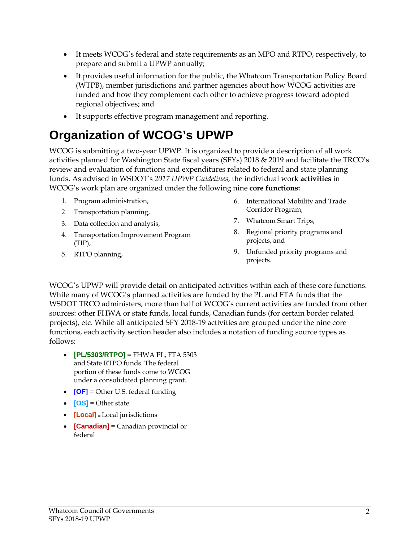- It meets WCOG's federal and state requirements as an MPO and RTPO, respectively, to prepare and submit a UPWP annually;
- It provides useful information for the public, the Whatcom Transportation Policy Board (WTPB), member jurisdictions and partner agencies about how WCOG activities are funded and how they complement each other to achieve progress toward adopted regional objectives; and
- It supports effective program management and reporting.

## **Organization of WCOG's UPWP**

WCOG is submitting a two-year UPWP. It is organized to provide a description of all work activities planned for Washington State fiscal years (SFYs) 2018 & 2019 and facilitate the TRCO's review and evaluation of functions and expenditures related to federal and state planning funds. As advised in WSDOT's *2017 UPWP Guidelines*, the individual work **activities** in WCOG's work plan are organized under the following nine **core functions:**

- 1. Program administration,
- 2. Transportation planning,
- 3. Data collection and analysis,
- 4. Transportation Improvement Program (TIP),
- 5. RTPO planning,
- 6. International Mobility and Trade Corridor Program,
- 7. Whatcom Smart Trips,
- 8. Regional priority programs and projects, and
- 9. Unfunded priority programs and projects.

WCOG's UPWP will provide detail on anticipated activities within each of these core functions. While many of WCOG's planned activities are funded by the PL and FTA funds that the WSDOT TRCO administers, more than half of WCOG's current activities are funded from other sources: other FHWA or state funds, local funds, Canadian funds (for certain border related projects), etc. While all anticipated SFY 2018-19 activities are grouped under the nine core functions, each activity section header also includes a notation of funding source types as follows:

- **[PL/5303/RTPO]** = FHWA PL, FTA 5303 and State RTPO funds. The federal portion of these funds come to WCOG under a consolidated planning grant.
- **[OF]** = Other U.S. federal funding
- **[OS]** = Other state
- **[Local] <sup>=</sup>**Local jurisdictions
- **•** [**Canadian**] = Canadian provincial or federal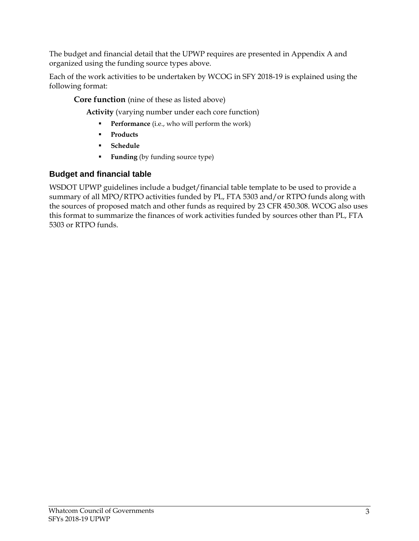The budget and financial detail that the UPWP requires are presented in Appendix A and organized using the funding source types above.

Each of the work activities to be undertaken by WCOG in SFY 2018-19 is explained using the following format:

**Core function** (nine of these as listed above)

**Activity** (varying number under each core function)

- **Performance** (i.e., who will perform the work)
- **Products**
- **Schedule**
- **Funding** (by funding source type)

#### **Budget and financial table**

WSDOT UPWP guidelines include a budget/financial table template to be used to provide a summary of all MPO/RTPO activities funded by PL, FTA 5303 and/or RTPO funds along with the sources of proposed match and other funds as required by 23 CFR 450.308. WCOG also uses this format to summarize the finances of work activities funded by sources other than PL, FTA 5303 or RTPO funds.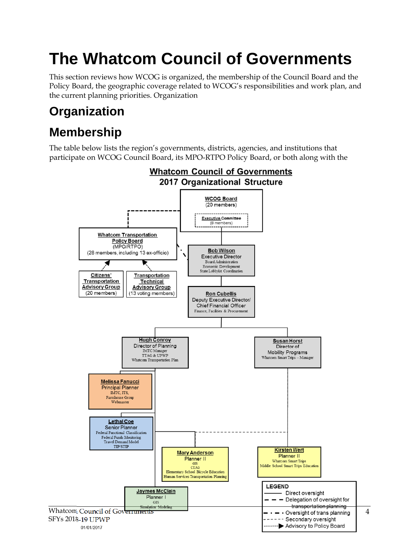# **The Whatcom Council of Governments**

This section reviews how WCOG is organized, the membership of the Council Board and the Policy Board, the geographic coverage related to WCOG's responsibilities and work plan, and the current planning priorities. Organization

## **Organization**

## **Membership**

The table below lists the region's governments, districts, agencies, and institutions that participate on WCOG Council Board, its MPO-RTPO Policy Board, or both along with the

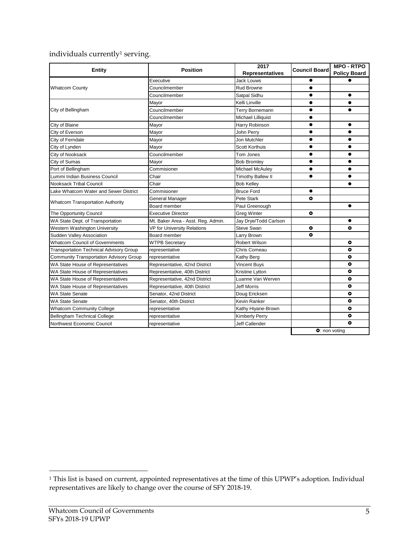#### individuals currently<sup>1</sup> serving.

| Entity                                         | <b>Position</b>                    | 2017<br>Representatives  | <b>Council Board</b> | <b>MPO - RTPO</b><br><b>Policy Board</b> |
|------------------------------------------------|------------------------------------|--------------------------|----------------------|------------------------------------------|
|                                                | Executive                          | <b>Jack Louws</b>        |                      |                                          |
| <b>Whatcom County</b>                          | Councilmember                      | <b>Rud Browne</b>        | $\bullet$            |                                          |
|                                                | Councilmember                      | Satpal Sidhu             |                      |                                          |
|                                                | Mayor                              | Kelli Linville           |                      |                                          |
| City of Bellingham                             | Councilmember                      | Terry Bornemann          |                      |                                          |
|                                                | Councilmember                      | Michael Lilliquist       |                      |                                          |
| City of Blaine                                 | Mayor                              | Harry Robinson           |                      | $\bullet$                                |
| City of Everson                                | Mayor                              | John Perry               | $\bullet$            | $\bullet$                                |
| City of Ferndale                               | Mayor                              | Jon Mutchler             | $\bullet$            | ●                                        |
| City of Lynden                                 | Mayor                              | <b>Scott Korthuis</b>    |                      | $\bullet$                                |
| City of Nooksack                               | Councilmember                      | Tom Jones                | $\bullet$            | $\bullet$                                |
| City of Sumas                                  | Mayor                              | <b>Bob Bromley</b>       |                      |                                          |
| Port of Bellingham                             | Commisioner                        | Michael McAuley          |                      |                                          |
| Lummi Indian Business Council                  | Chair                              | <b>Timothy Ballew II</b> | $\bullet$            | $\bullet$                                |
| <b>Nooksack Tribal Council</b>                 | Chair                              | <b>Bob Kelley</b>        |                      |                                          |
| Lake Whatcom Water and Sewer District          | Commisioner                        | <b>Bruce Ford</b>        | $\bullet$            |                                          |
|                                                | General Manager                    | Pete Stark               | $\bullet$            |                                          |
| <b>Whatcom Transportation Authority</b>        | Board member                       | Paul Greenough           |                      | $\bullet$                                |
| The Opportunity Council                        | <b>Executive Director</b>          | <b>Greg Winter</b>       | ۰                    |                                          |
| WA State Dept. of Transportation               | Mt. Baker Area - Asst. Reg. Admin. | Jay Drye/Todd Carlson    |                      | $\bullet$                                |
| Western Washington University                  | <b>VP for University Relations</b> | Steve Swan               | ۰                    | $\bullet$                                |
| Sudden Valley Association                      | Board member                       | Larry Brown              | ۰                    |                                          |
| <b>Whatcom Council of Governments</b>          | <b>WTPB Secretary</b>              | <b>Robert Wilson</b>     |                      | $\bullet$                                |
| <b>Transportation Technical Advisory Group</b> | representative                     | Chris Comeau             |                      | $\bullet$                                |
| <b>Community Transportation Advisory Group</b> | representative                     | Kathy Berg               |                      | $\bullet$                                |
| WA State House of Representatives              | Representative, 42nd District      | <b>Vincent Buys</b>      |                      | $\bullet$                                |
| WA State House of Representatives              | Representative, 40th District      | Kristine Lytton          |                      | ۰                                        |
| WA State House of Representatives              | Representative, 42nd District      | Luanne Van Werven        |                      | ۰                                        |
| WA State House of Representatives              | Representative, 40th District      | <b>Jeff Morris</b>       |                      | $\bullet$                                |
| <b>WA State Senate</b>                         | Senator, 42nd District             | Doug Ericksen            |                      | ۰                                        |
| <b>WA State Senate</b>                         | Senator, 40th District             | Kevin Ranker             |                      | $\bullet$                                |
| <b>Whatcom Community College</b>               | representative                     | Kathy Hiyane-Brown       |                      | $\bullet$                                |
| <b>Bellingham Technical College</b>            | representative                     | <b>Kimberly Perry</b>    |                      | ۰                                        |
| Northwest Economic Council                     | representative                     | <b>Jeff Callender</b>    |                      | $\bullet$                                |
|                                                |                                    |                          |                      | <b>O</b> : non voting                    |

 $\overline{a}$ 

<sup>1</sup> This list is based on current, appointed representatives at the time of this UPWP's adoption. Individual representatives are likely to change over the course of SFY 2018-19.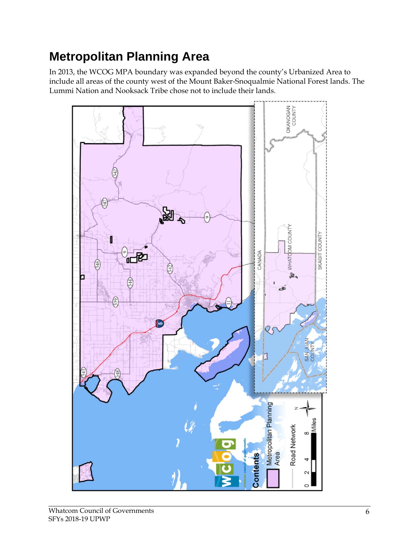## **Metropolitan Planning Area**

In 2013, the WCOG MPA boundary was expanded beyond the county's Urbanized Area to include all areas of the county west of the Mount Baker-Snoqualmie National Forest lands. The Lummi Nation and Nooksack Tribe chose not to include their lands.

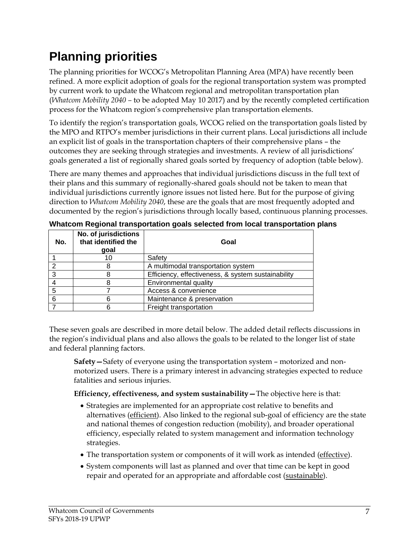## **Planning priorities**

The planning priorities for WCOG's Metropolitan Planning Area (MPA) have recently been refined. A more explicit adoption of goals for the regional transportation system was prompted by current work to update the Whatcom regional and metropolitan transportation plan (*Whatcom Mobility 2040 –* to be adopted May 10 2017) and by the recently completed certification process for the Whatcom region's comprehensive plan transportation elements.

To identify the region's transportation goals, WCOG relied on the transportation goals listed by the MPO and RTPO's member jurisdictions in their current plans. Local jurisdictions all include an explicit list of goals in the transportation chapters of their comprehensive plans – the outcomes they are seeking through strategies and investments. A review of all jurisdictions' goals generated a list of regionally shared goals sorted by frequency of adoption (table below).

There are many themes and approaches that individual jurisdictions discuss in the full text of their plans and this summary of regionally-shared goals should not be taken to mean that individual jurisdictions currently ignore issues not listed here. But for the purpose of giving direction to *Whatcom Mobility 2040*, these are the goals that are most frequently adopted and documented by the region's jurisdictions through locally based, continuous planning processes.

| No. | No. of jurisdictions<br>that identified the<br>qoal | Goal                                               |
|-----|-----------------------------------------------------|----------------------------------------------------|
|     | 10                                                  | Safety                                             |
| ົ   |                                                     | A multimodal transportation system                 |
| 3   |                                                     | Efficiency, effectiveness, & system sustainability |
|     |                                                     | Environmental quality                              |
| 5   |                                                     | Access & convenience                               |
| 6   |                                                     | Maintenance & preservation                         |
|     |                                                     | Freight transportation                             |

**Whatcom Regional transportation goals selected from local transportation plans** 

These seven goals are described in more detail below. The added detail reflects discussions in the region's individual plans and also allows the goals to be related to the longer list of state and federal planning factors.

**Safety—**Safety of everyone using the transportation system – motorized and nonmotorized users. There is a primary interest in advancing strategies expected to reduce fatalities and serious injuries.

**Efficiency, effectiveness, and system sustainability—**The objective here is that:

- Strategies are implemented for an appropriate cost relative to benefits and alternatives (efficient). Also linked to the regional sub-goal of efficiency are the state and national themes of congestion reduction (mobility), and broader operational efficiency, especially related to system management and information technology strategies.
- The transportation system or components of it will work as intended (effective).
- System components will last as planned and over that time can be kept in good repair and operated for an appropriate and affordable cost (sustainable).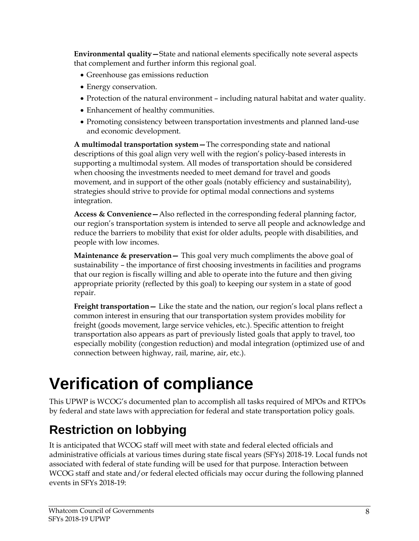**Environmental quality—**State and national elements specifically note several aspects that complement and further inform this regional goal.

- Greenhouse gas emissions reduction
- Energy conservation.
- Protection of the natural environment including natural habitat and water quality.
- Enhancement of healthy communities.
- Promoting consistency between transportation investments and planned land-use and economic development.

**A multimodal transportation system—**The corresponding state and national descriptions of this goal align very well with the region's policy-based interests in supporting a multimodal system. All modes of transportation should be considered when choosing the investments needed to meet demand for travel and goods movement, and in support of the other goals (notably efficiency and sustainability), strategies should strive to provide for optimal modal connections and systems integration.

**Access & Convenience—**Also reflected in the corresponding federal planning factor, our region's transportation system is intended to serve all people and acknowledge and reduce the barriers to mobility that exist for older adults, people with disabilities, and people with low incomes.

**Maintenance & preservation—** This goal very much compliments the above goal of sustainability – the importance of first choosing investments in facilities and programs that our region is fiscally willing and able to operate into the future and then giving appropriate priority (reflected by this goal) to keeping our system in a state of good repair.

**Freight transportation—** Like the state and the nation, our region's local plans reflect a common interest in ensuring that our transportation system provides mobility for freight (goods movement, large service vehicles, etc.). Specific attention to freight transportation also appears as part of previously listed goals that apply to travel, too especially mobility (congestion reduction) and modal integration (optimized use of and connection between highway, rail, marine, air, etc.).

# **Verification of compliance**

This UPWP is WCOG's documented plan to accomplish all tasks required of MPOs and RTPOs by federal and state laws with appreciation for federal and state transportation policy goals.

## **Restriction on lobbying**

It is anticipated that WCOG staff will meet with state and federal elected officials and administrative officials at various times during state fiscal years (SFYs) 2018-19. Local funds not associated with federal of state funding will be used for that purpose. Interaction between WCOG staff and state and/or federal elected officials may occur during the following planned events in SFYs 2018-19: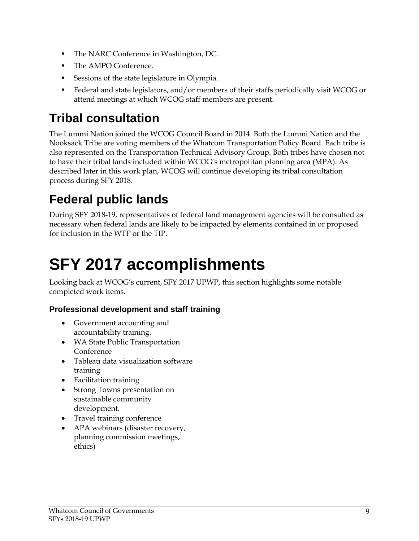- The NARC Conference in Washington, DC.
- The AMPO Conference.
- Sessions of the state legislature in Olympia.
- Federal and state legislators, and/or members of their staffs periodically visit WCOG or attend meetings at which WCOG staff members are present.

## **Tribal consultation**

The Lummi Nation joined the WCOG Council Board in 2014. Both the Lummi Nation and the Nooksack Tribe are voting members of the Whatcom Transportation Policy Board. Each tribe is also represented on the Transportation Technical Advisory Group. Both tribes have chosen not to have their tribal lands included within WCOG's metropolitan planning area (MPA). As described later in this work plan, WCOG will continue developing its tribal consultation process during SFY 2018.

## **Federal public lands**

During SFY 2018-19, representatives of federal land management agencies will be consulted as necessary when federal lands are likely to be impacted by elements contained in or proposed for inclusion in the WTP or the TIP.

# **SFY 2017 accomplishments**

Looking back at WCOG's current, SFY 2017 UPWP, this section highlights some notable completed work items.

#### **Professional development and staff training**

- Government accounting and accountability training.
- WA State Public Transportation Conference
- Tableau data visualization software training
- Facilitation training
- Strong Towns presentation on sustainable community development.
- Travel training conference
- APA webinars (disaster recovery, planning commission meetings, ethics)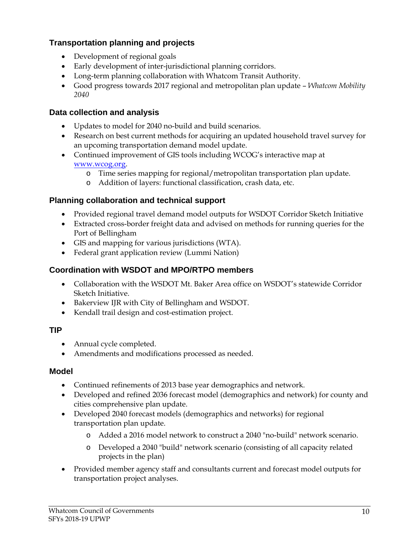#### **Transportation planning and projects**

- Development of regional goals
- Early development of inter-jurisdictional planning corridors.
- Long-term planning collaboration with Whatcom Transit Authority.
- Good progress towards 2017 regional and metropolitan plan update *Whatcom Mobility 2040*

#### **Data collection and analysis**

- Updates to model for 2040 no-build and build scenarios.
- Research on best current methods for acquiring an updated household travel survey for an upcoming transportation demand model update.
- Continued improvement of GIS tools including WCOG's interactive map at www.wcog.org.
	- o Time series mapping for regional/metropolitan transportation plan update.
	- o Addition of layers: functional classification, crash data, etc.

#### **Planning collaboration and technical support**

- Provided regional travel demand model outputs for WSDOT Corridor Sketch Initiative
- Extracted cross-border freight data and advised on methods for running queries for the Port of Bellingham
- GIS and mapping for various jurisdictions (WTA).
- Federal grant application review (Lummi Nation)

#### **Coordination with WSDOT and MPO/RTPO members**

- Collaboration with the WSDOT Mt. Baker Area office on WSDOT's statewide Corridor Sketch Initiative.
- Bakerview IJR with City of Bellingham and WSDOT.
- Kendall trail design and cost-estimation project.

#### **TIP**

- Annual cycle completed.
- Amendments and modifications processed as needed.

#### **Model**

- Continued refinements of 2013 base year demographics and network.
- Developed and refined 2036 forecast model (demographics and network) for county and cities comprehensive plan update.
- Developed 2040 forecast models (demographics and networks) for regional transportation plan update.
	- o Added a 2016 model network to construct a 2040 "no-build" network scenario.
	- o Developed a 2040 "build" network scenario (consisting of all capacity related projects in the plan)
- Provided member agency staff and consultants current and forecast model outputs for transportation project analyses.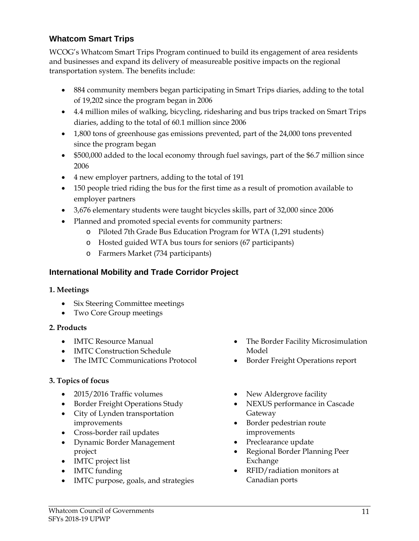#### **Whatcom Smart Trips**

WCOG's Whatcom Smart Trips Program continued to build its engagement of area residents and businesses and expand its delivery of measureable positive impacts on the regional transportation system. The benefits include:

- 884 community members began participating in Smart Trips diaries, adding to the total of 19,202 since the program began in 2006
- 4.4 million miles of walking, bicycling, ridesharing and bus trips tracked on Smart Trips diaries, adding to the total of 60.1 million since 2006
- 1,800 tons of greenhouse gas emissions prevented, part of the 24,000 tons prevented since the program began
- \$500,000 added to the local economy through fuel savings, part of the \$6.7 million since 2006
- 4 new employer partners, adding to the total of 191
- 150 people tried riding the bus for the first time as a result of promotion available to employer partners
- 3,676 elementary students were taught bicycles skills, part of 32,000 since 2006
- Planned and promoted special events for community partners:
	- o Piloted 7th Grade Bus Education Program for WTA (1,291 students)
	- o Hosted guided WTA bus tours for seniors (67 participants)
	- o Farmers Market (734 participants)

#### **International Mobility and Trade Corridor Project**

#### **1. Meetings**

- Six Steering Committee meetings
- Two Core Group meetings

#### **2. Products**

- IMTC Resource Manual
- IMTC Construction Schedule
- The IMTC Communications Protocol

#### **3. Topics of focus**

- 2015/2016 Traffic volumes
- Border Freight Operations Study
- City of Lynden transportation improvements
- Cross-border rail updates
- Dynamic Border Management project
- IMTC project list
- IMTC funding
- IMTC purpose, goals, and strategies
- The Border Facility Microsimulation Model
- Border Freight Operations report
- New Aldergrove facility
- NEXUS performance in Cascade Gateway
- Border pedestrian route improvements
- Preclearance update
- Regional Border Planning Peer Exchange
- RFID/radiation monitors at Canadian ports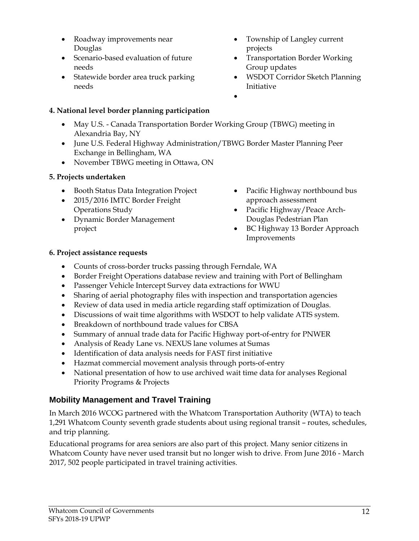- Roadway improvements near Douglas
- Scenario-based evaluation of future needs
- Statewide border area truck parking needs

#### **4. National level border planning participation**

- May U.S. Canada Transportation Border Working Group (TBWG) meeting in Alexandria Bay, NY
- June U.S. Federal Highway Administration/TBWG Border Master Planning Peer Exchange in Bellingham, WA
- November TBWG meeting in Ottawa, ON

#### **5. Projects undertaken**

- Booth Status Data Integration Project
- 2015/2016 IMTC Border Freight Operations Study
- Dynamic Border Management project
- Township of Langley current projects
- Transportation Border Working Group updates
- WSDOT Corridor Sketch Planning Initiative
- $\bullet$

- Pacific Highway northbound bus approach assessment
- Pacific Highway/Peace Arch-Douglas Pedestrian Plan
- BC Highway 13 Border Approach Improvements

#### **6. Project assistance requests**

- Counts of cross-border trucks passing through Ferndale, WA
- Border Freight Operations database review and training with Port of Bellingham
- Passenger Vehicle Intercept Survey data extractions for WWU
- Sharing of aerial photography files with inspection and transportation agencies
- Review of data used in media article regarding staff optimization of Douglas.
- Discussions of wait time algorithms with WSDOT to help validate ATIS system.
- Breakdown of northbound trade values for CBSA
- Summary of annual trade data for Pacific Highway port-of-entry for PNWER
- Analysis of Ready Lane vs. NEXUS lane volumes at Sumas
- Identification of data analysis needs for FAST first initiative
- Hazmat commercial movement analysis through ports-of-entry
- National presentation of how to use archived wait time data for analyses Regional Priority Programs & Projects

#### **Mobility Management and Travel Training**

In March 2016 WCOG partnered with the Whatcom Transportation Authority (WTA) to teach 1,291 Whatcom County seventh grade students about using regional transit – routes, schedules, and trip planning.

Educational programs for area seniors are also part of this project. Many senior citizens in Whatcom County have never used transit but no longer wish to drive. From June 2016 - March 2017, 502 people participated in travel training activities.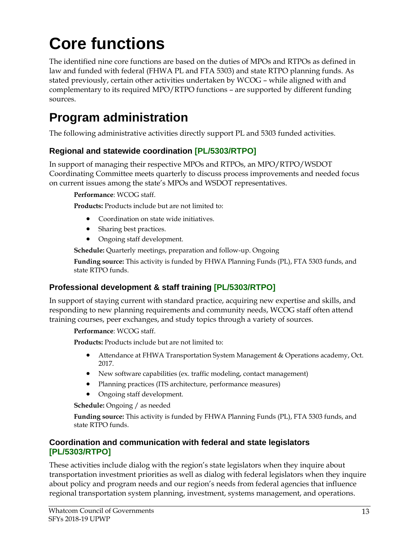# **Core functions**

The identified nine core functions are based on the duties of MPOs and RTPOs as defined in law and funded with federal (FHWA PL and FTA 5303) and state RTPO planning funds. As stated previously, certain other activities undertaken by WCOG – while aligned with and complementary to its required MPO/RTPO functions – are supported by different funding sources.

## **Program administration**

The following administrative activities directly support PL and 5303 funded activities.

#### **Regional and statewide coordination [PL/5303/RTPO]**

In support of managing their respective MPOs and RTPOs, an MPO/RTPO/WSDOT Coordinating Committee meets quarterly to discuss process improvements and needed focus on current issues among the state's MPOs and WSDOT representatives.

**Performance**: WCOG staff.

**Products:** Products include but are not limited to:

- Coordination on state wide initiatives.
- Sharing best practices.
- Ongoing staff development.

**Schedule:** Quarterly meetings, preparation and follow-up. Ongoing

**Funding source:** This activity is funded by FHWA Planning Funds (PL), FTA 5303 funds, and state RTPO funds.

#### **Professional development & staff training [PL/5303/RTPO]**

In support of staying current with standard practice, acquiring new expertise and skills, and responding to new planning requirements and community needs, WCOG staff often attend training courses, peer exchanges, and study topics through a variety of sources.

**Performance**: WCOG staff.

**Products:** Products include but are not limited to:

- Attendance at FHWA Transportation System Management & Operations academy, Oct. 2017.
- New software capabilities (ex. traffic modeling, contact management)
- Planning practices (ITS architecture, performance measures)
- Ongoing staff development.

**Schedule:** Ongoing / as needed

**Funding source:** This activity is funded by FHWA Planning Funds (PL), FTA 5303 funds, and state RTPO funds.

#### **Coordination and communication with federal and state legislators [PL/5303/RTPO]**

These activities include dialog with the region's state legislators when they inquire about transportation investment priorities as well as dialog with federal legislators when they inquire about policy and program needs and our region's needs from federal agencies that influence regional transportation system planning, investment, systems management, and operations.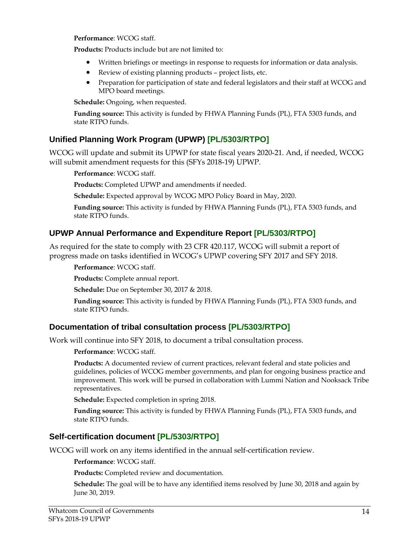**Performance**: WCOG staff.

**Products:** Products include but are not limited to:

- Written briefings or meetings in response to requests for information or data analysis.
- Review of existing planning products project lists, etc.
- Preparation for participation of state and federal legislators and their staff at WCOG and MPO board meetings.

**Schedule:** Ongoing, when requested.

**Funding source:** This activity is funded by FHWA Planning Funds (PL), FTA 5303 funds, and state RTPO funds.

#### **Unified Planning Work Program (UPWP) [PL/5303/RTPO]**

WCOG will update and submit its UPWP for state fiscal years 2020-21. And, if needed, WCOG will submit amendment requests for this (SFYs 2018-19) UPWP.

**Performance**: WCOG staff.

**Products:** Completed UPWP and amendments if needed.

**Schedule:** Expected approval by WCOG MPO Policy Board in May, 2020.

**Funding source:** This activity is funded by FHWA Planning Funds (PL), FTA 5303 funds, and state RTPO funds.

#### **UPWP Annual Performance and Expenditure Report [PL/5303/RTPO]**

As required for the state to comply with 23 CFR 420.117, WCOG will submit a report of progress made on tasks identified in WCOG's UPWP covering SFY 2017 and SFY 2018.

**Performance**: WCOG staff.

**Products:** Complete annual report.

**Schedule:** Due on September 30, 2017 & 2018.

**Funding source:** This activity is funded by FHWA Planning Funds (PL), FTA 5303 funds, and state RTPO funds.

#### **Documentation of tribal consultation process [PL/5303/RTPO]**

Work will continue into SFY 2018, to document a tribal consultation process.

**Performance**: WCOG staff.

**Products:** A documented review of current practices, relevant federal and state policies and guidelines, policies of WCOG member governments, and plan for ongoing business practice and improvement. This work will be pursed in collaboration with Lummi Nation and Nooksack Tribe representatives.

**Schedule:** Expected completion in spring 2018.

**Funding source:** This activity is funded by FHWA Planning Funds (PL), FTA 5303 funds, and state RTPO funds.

#### **Self-certification document [PL/5303/RTPO]**

WCOG will work on any items identified in the annual self-certification review.

**Performance**: WCOG staff.

**Products:** Completed review and documentation.

**Schedule:** The goal will be to have any identified items resolved by June 30, 2018 and again by June 30, 2019.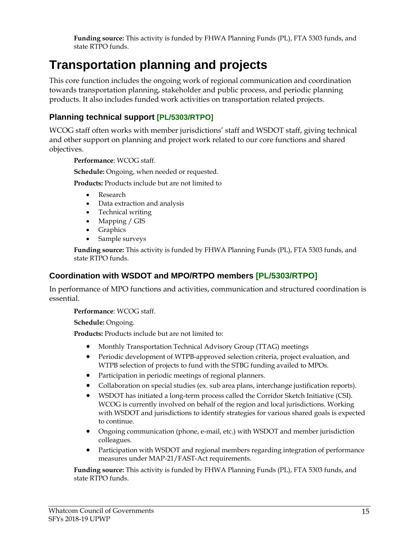**Funding source:** This activity is funded by FHWA Planning Funds (PL), FTA 5303 funds, and state RTPO funds.

## **Transportation planning and projects**

This core function includes the ongoing work of regional communication and coordination towards transportation planning, stakeholder and public process, and periodic planning products. It also includes funded work activities on transportation related projects.

#### **Planning technical support [PL/5303/RTPO]**

WCOG staff often works with member jurisdictions' staff and WSDOT staff, giving technical and other support on planning and project work related to our core functions and shared objectives.

**Performance**: WCOG staff.

**Schedule:** Ongoing, when needed or requested.

**Products:** Products include but are not limited to

- Research
- Data extraction and analysis
- Technical writing
- Mapping / GIS
- Graphics
- Sample surveys

**Funding source:** This activity is funded by FHWA Planning Funds (PL), FTA 5303 funds, and state RTPO funds.

#### **Coordination with WSDOT and MPO/RTPO members [PL/5303/RTPO]**

In performance of MPO functions and activities, communication and structured coordination is essential.

**Performance**: WCOG staff.

**Schedule:** Ongoing.

**Products:** Products include but are not limited to:

- Monthly Transportation Technical Advisory Group (TTAG) meetings
- Periodic development of WTPB-approved selection criteria, project evaluation, and WTPB selection of projects to fund with the STBG funding availed to MPOs.
- Participation in periodic meetings of regional planners.
- Collaboration on special studies (ex. sub area plans, interchange justification reports).
- WSDOT has initiated a long-term process called the Corridor Sketch Initiative (CSI). WCOG is currently involved on behalf of the region and local jurisdictions. Working with WSDOT and jurisdictions to identify strategies for various shared goals is expected to continue.
- Ongoing communication (phone, e-mail, etc.) with WSDOT and member jurisdiction colleagues.
- Participation with WSDOT and regional members regarding integration of performance measures under MAP-21/FAST-Act requirements.

**Funding source:** This activity is funded by FHWA Planning Funds (PL), FTA 5303 funds, and state RTPO funds.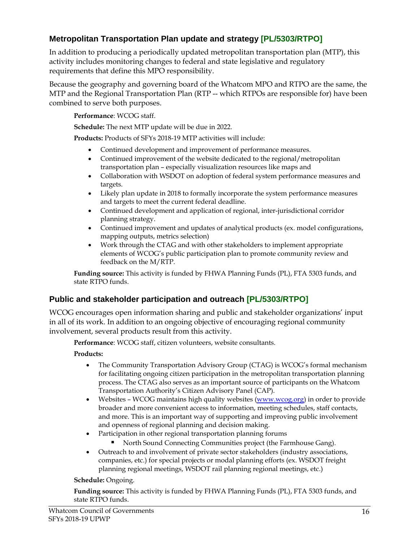#### **Metropolitan Transportation Plan update and strategy [PL/5303/RTPO]**

In addition to producing a periodically updated metropolitan transportation plan (MTP), this activity includes monitoring changes to federal and state legislative and regulatory requirements that define this MPO responsibility.

Because the geography and governing board of the Whatcom MPO and RTPO are the same, the MTP and the Regional Transportation Plan (RTP -- which RTPOs are responsible for) have been combined to serve both purposes.

**Performance**: WCOG staff.

**Schedule:** The next MTP update will be due in 2022.

**Products:** Products of SFYs 2018-19 MTP activities will include:

- Continued development and improvement of performance measures.
- Continued improvement of the website dedicated to the regional/metropolitan transportation plan – especially visualization resources like maps and
- Collaboration with WSDOT on adoption of federal system performance measures and targets.
- Likely plan update in 2018 to formally incorporate the system performance measures and targets to meet the current federal deadline.
- Continued development and application of regional, inter-jurisdictional corridor planning strategy.
- Continued improvement and updates of analytical products (ex. model configurations, mapping outputs, metrics selection)
- Work through the CTAG and with other stakeholders to implement appropriate elements of WCOG's public participation plan to promote community review and feedback on the M/RTP.

**Funding source:** This activity is funded by FHWA Planning Funds (PL), FTA 5303 funds, and state RTPO funds.

#### **Public and stakeholder participation and outreach [PL/5303/RTPO]**

WCOG encourages open information sharing and public and stakeholder organizations' input in all of its work. In addition to an ongoing objective of encouraging regional community involvement, several products result from this activity.

**Performance**: WCOG staff, citizen volunteers, website consultants.

#### **Products:**

- The Community Transportation Advisory Group (CTAG) is WCOG's formal mechanism for facilitating ongoing citizen participation in the metropolitan transportation planning process. The CTAG also serves as an important source of participants on the Whatcom Transportation Authority's Citizen Advisory Panel (CAP).
- Websites WCOG maintains high quality websites (www.wcog.org) in order to provide broader and more convenient access to information, meeting schedules, staff contacts, and more. This is an important way of supporting and improving public involvement and openness of regional planning and decision making.
- Participation in other regional transportation planning forums
	- North Sound Connecting Communities project (the Farmhouse Gang).
- Outreach to and involvement of private sector stakeholders (industry associations, companies, etc.) for special projects or modal planning efforts (ex. WSDOT freight planning regional meetings, WSDOT rail planning regional meetings, etc.)

#### **Schedule:** Ongoing.

**Funding source:** This activity is funded by FHWA Planning Funds (PL), FTA 5303 funds, and state RTPO funds.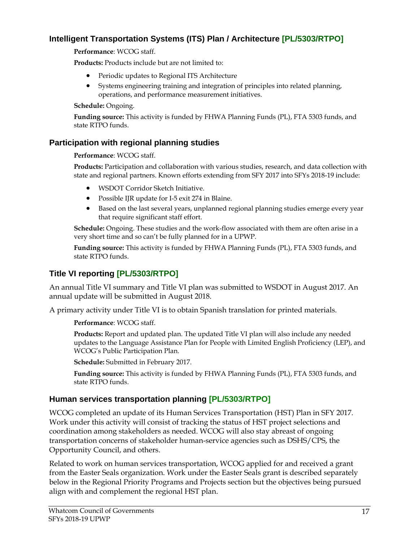#### **Intelligent Transportation Systems (ITS) Plan / Architecture [PL/5303/RTPO]**

**Performance**: WCOG staff.

**Products:** Products include but are not limited to:

- Periodic updates to Regional ITS Architecture
- Systems engineering training and integration of principles into related planning, operations, and performance measurement initiatives.

#### **Schedule:** Ongoing.

**Funding source:** This activity is funded by FHWA Planning Funds (PL), FTA 5303 funds, and state RTPO funds.

#### **Participation with regional planning studies**

#### **Performance**: WCOG staff.

**Products:** Participation and collaboration with various studies, research, and data collection with state and regional partners. Known efforts extending from SFY 2017 into SFYs 2018-19 include:

- WSDOT Corridor Sketch Initiative.
- Possible IJR update for I-5 exit 274 in Blaine.
- Based on the last several years, unplanned regional planning studies emerge every year that require significant staff effort.

**Schedule:** Ongoing. These studies and the work-flow associated with them are often arise in a very short time and so can't be fully planned for in a UPWP.

**Funding source:** This activity is funded by FHWA Planning Funds (PL), FTA 5303 funds, and state RTPO funds.

#### **Title VI reporting [PL/5303/RTPO]**

An annual Title VI summary and Title VI plan was submitted to WSDOT in August 2017. An annual update will be submitted in August 2018.

A primary activity under Title VI is to obtain Spanish translation for printed materials.

**Performance**: WCOG staff.

**Products:** Report and updated plan. The updated Title VI plan will also include any needed updates to the Language Assistance Plan for People with Limited English Proficiency (LEP), and WCOG's Public Participation Plan.

**Schedule:** Submitted in February 2017.

**Funding source:** This activity is funded by FHWA Planning Funds (PL), FTA 5303 funds, and state RTPO funds.

#### **Human services transportation planning [PL/5303/RTPO]**

WCOG completed an update of its Human Services Transportation (HST) Plan in SFY 2017. Work under this activity will consist of tracking the status of HST project selections and coordination among stakeholders as needed. WCOG will also stay abreast of ongoing transportation concerns of stakeholder human-service agencies such as DSHS/CPS, the Opportunity Council, and others.

Related to work on human services transportation, WCOG applied for and received a grant from the Easter Seals organization. Work under the Easter Seals grant is described separately below in the Regional Priority Programs and Projects section but the objectives being pursued align with and complement the regional HST plan.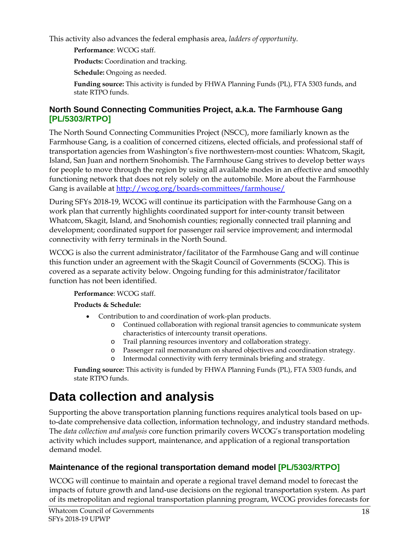This activity also advances the federal emphasis area, *ladders of opportunity*.

**Performance**: WCOG staff.

**Products:** Coordination and tracking.

**Schedule:** Ongoing as needed.

**Funding source:** This activity is funded by FHWA Planning Funds (PL), FTA 5303 funds, and state RTPO funds.

#### **North Sound Connecting Communities Project, a.k.a. The Farmhouse Gang [PL/5303/RTPO]**

The North Sound Connecting Communities Project (NSCC), more familiarly known as the Farmhouse Gang, is a coalition of concerned citizens, elected officials, and professional staff of transportation agencies from Washington's five northwestern-most counties: Whatcom, Skagit, Island, San Juan and northern Snohomish. The Farmhouse Gang strives to develop better ways for people to move through the region by using all available modes in an effective and smoothly functioning network that does not rely solely on the automobile. More about the Farmhouse Gang is available at http://wcog.org/boards-committees/farmhouse/

During SFYs 2018-19, WCOG will continue its participation with the Farmhouse Gang on a work plan that currently highlights coordinated support for inter-county transit between Whatcom, Skagit, Island, and Snohomish counties; regionally connected trail planning and development; coordinated support for passenger rail service improvement; and intermodal connectivity with ferry terminals in the North Sound.

WCOG is also the current administrator/facilitator of the Farmhouse Gang and will continue this function under an agreement with the Skagit Council of Governments (SCOG). This is covered as a separate activity below. Ongoing funding for this administrator/facilitator function has not been identified.

#### **Performance**: WCOG staff.

#### **Products & Schedule:**

- Contribution to and coordination of work-plan products.
	- o Continued collaboration with regional transit agencies to communicate system characteristics of intercounty transit operations.
	- o Trail planning resources inventory and collaboration strategy.
	- o Passenger rail memorandum on shared objectives and coordination strategy.
	- Intermodal connectivity with ferry terminals briefing and strategy.

**Funding source:** This activity is funded by FHWA Planning Funds (PL), FTA 5303 funds, and state RTPO funds.

## **Data collection and analysis**

Supporting the above transportation planning functions requires analytical tools based on upto-date comprehensive data collection, information technology, and industry standard methods. The *data collection and analysis* core function primarily covers WCOG's transportation modeling activity which includes support, maintenance, and application of a regional transportation demand model.

#### **Maintenance of the regional transportation demand model [PL/5303/RTPO]**

WCOG will continue to maintain and operate a regional travel demand model to forecast the impacts of future growth and land-use decisions on the regional transportation system. As part of its metropolitan and regional transportation planning program, WCOG provides forecasts for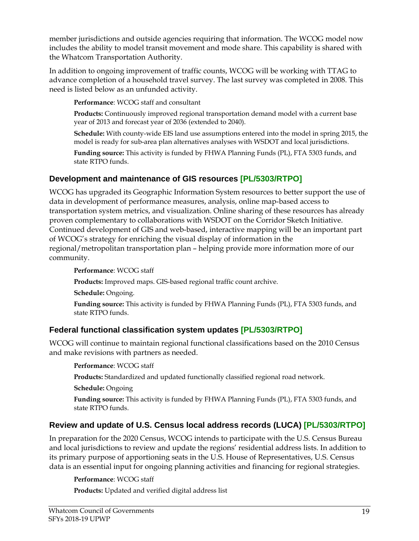member jurisdictions and outside agencies requiring that information. The WCOG model now includes the ability to model transit movement and mode share. This capability is shared with the Whatcom Transportation Authority.

In addition to ongoing improvement of traffic counts, WCOG will be working with TTAG to advance completion of a household travel survey. The last survey was completed in 2008. This need is listed below as an unfunded activity.

**Performance**: WCOG staff and consultant

**Products:** Continuously improved regional transportation demand model with a current base year of 2013 and forecast year of 2036 (extended to 2040).

**Schedule:** With county-wide EIS land use assumptions entered into the model in spring 2015, the model is ready for sub-area plan alternatives analyses with WSDOT and local jurisdictions.

**Funding source:** This activity is funded by FHWA Planning Funds (PL), FTA 5303 funds, and state RTPO funds.

#### **Development and maintenance of GIS resources [PL/5303/RTPO]**

WCOG has upgraded its Geographic Information System resources to better support the use of data in development of performance measures, analysis, online map-based access to transportation system metrics, and visualization. Online sharing of these resources has already proven complementary to collaborations with WSDOT on the Corridor Sketch Initiative. Continued development of GIS and web-based, interactive mapping will be an important part of WCOG's strategy for enriching the visual display of information in the regional/metropolitan transportation plan – helping provide more information more of our community.

**Performance**: WCOG staff

**Products:** Improved maps. GIS-based regional traffic count archive.

**Schedule:** Ongoing.

**Funding source:** This activity is funded by FHWA Planning Funds (PL), FTA 5303 funds, and state RTPO funds.

#### **Federal functional classification system updates [PL/5303/RTPO]**

WCOG will continue to maintain regional functional classifications based on the 2010 Census and make revisions with partners as needed.

#### **Performance**: WCOG staff

**Products:** Standardized and updated functionally classified regional road network.

**Schedule:** Ongoing

**Funding source:** This activity is funded by FHWA Planning Funds (PL), FTA 5303 funds, and state RTPO funds.

#### **Review and update of U.S. Census local address records (LUCA) [PL/5303/RTPO]**

In preparation for the 2020 Census, WCOG intends to participate with the U.S. Census Bureau and local jurisdictions to review and update the regions' residential address lists. In addition to its primary purpose of apportioning seats in the U.S. House of Representatives, U.S. Census data is an essential input for ongoing planning activities and financing for regional strategies.

#### **Performance**: WCOG staff

**Products:** Updated and verified digital address list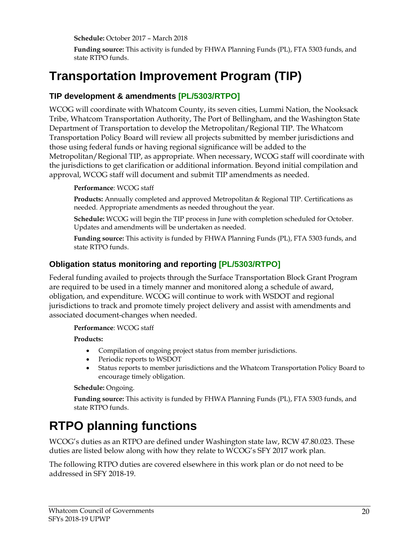**Schedule:** October 2017 – March 2018

**Funding source:** This activity is funded by FHWA Planning Funds (PL), FTA 5303 funds, and state RTPO funds.

### **Transportation Improvement Program (TIP)**

#### **TIP development & amendments [PL/5303/RTPO]**

WCOG will coordinate with Whatcom County, its seven cities, Lummi Nation, the Nooksack Tribe, Whatcom Transportation Authority, The Port of Bellingham, and the Washington State Department of Transportation to develop the Metropolitan/Regional TIP. The Whatcom Transportation Policy Board will review all projects submitted by member jurisdictions and those using federal funds or having regional significance will be added to the Metropolitan/Regional TIP, as appropriate. When necessary, WCOG staff will coordinate with the jurisdictions to get clarification or additional information. Beyond initial compilation and approval, WCOG staff will document and submit TIP amendments as needed.

#### **Performance**: WCOG staff

**Products:** Annually completed and approved Metropolitan & Regional TIP. Certifications as needed. Appropriate amendments as needed throughout the year.

**Schedule:** WCOG will begin the TIP process in June with completion scheduled for October. Updates and amendments will be undertaken as needed.

**Funding source:** This activity is funded by FHWA Planning Funds (PL), FTA 5303 funds, and state RTPO funds.

#### **Obligation status monitoring and reporting [PL/5303/RTPO]**

Federal funding availed to projects through the Surface Transportation Block Grant Program are required to be used in a timely manner and monitored along a schedule of award, obligation, and expenditure. WCOG will continue to work with WSDOT and regional jurisdictions to track and promote timely project delivery and assist with amendments and associated document-changes when needed.

#### **Performance**: WCOG staff

**Products:** 

- Compilation of ongoing project status from member jurisdictions.
- Periodic reports to WSDOT
- Status reports to member jurisdictions and the Whatcom Transportation Policy Board to encourage timely obligation.

#### **Schedule:** Ongoing.

**Funding source:** This activity is funded by FHWA Planning Funds (PL), FTA 5303 funds, and state RTPO funds.

## **RTPO planning functions**

WCOG's duties as an RTPO are defined under Washington state law, RCW 47.80.023. These duties are listed below along with how they relate to WCOG's SFY 2017 work plan.

The following RTPO duties are covered elsewhere in this work plan or do not need to be addressed in SFY 2018-19.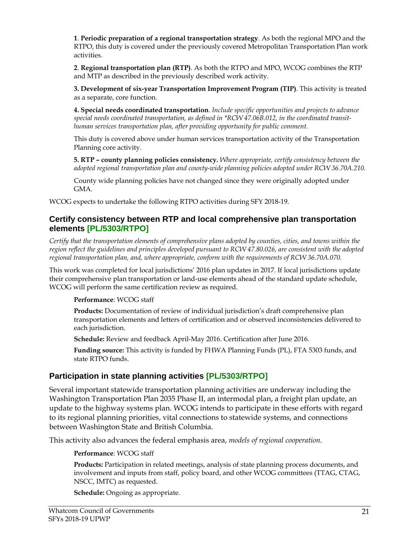**1**. **Periodic preparation of a regional transportation strategy**. As both the regional MPO and the RTPO, this duty is covered under the previously covered Metropolitan Transportation Plan work activities.

**2**. **Regional transportation plan (RTP)**. As both the RTPO and MPO, WCOG combines the RTP and MTP as described in the previously described work activity.

**3. Development of six-year Transportation Improvement Program (TIP)**. This activity is treated as a separate, core function.

**4. Special needs coordinated transportation**. *Include specific opportunities and projects to advance special needs coordinated transportation, as defined in \*RCW 47.06B.012, in the coordinated transithuman services transportation plan, after providing opportunity for public comment.* 

This duty is covered above under human services transportation activity of the Transportation Planning core activity.

**5. RTP – county planning policies consistency.** *Where appropriate, certify consistency between the adopted regional transportation plan and county-wide planning policies adopted under RCW 36.70A.210.*

County wide planning policies have not changed since they were originally adopted under GMA.

WCOG expects to undertake the following RTPO activities during SFY 2018-19.

#### **Certify consistency between RTP and local comprehensive plan transportation elements [PL/5303/RTPO]**

*Certify that the transportation elements of comprehensive plans adopted by counties, cities, and towns within the region reflect the guidelines and principles developed pursuant to RCW 47.80.026, are consistent with the adopted regional transportation plan, and, where appropriate, conform with the requirements of RCW 36.70A.070.*

This work was completed for local jurisdictions' 2016 plan updates in 2017. If local jurisdictions update their comprehensive plan transportation or land-use elements ahead of the standard update schedule, WCOG will perform the same certification review as required.

**Performance**: WCOG staff

**Products:** Documentation of review of individual jurisdiction's draft comprehensive plan transportation elements and letters of certification and or observed inconsistencies delivered to each jurisdiction.

**Schedule:** Review and feedback April-May 2016. Certification after June 2016.

**Funding source:** This activity is funded by FHWA Planning Funds (PL), FTA 5303 funds, and state RTPO funds.

#### **Participation in state planning activities [PL/5303/RTPO]**

Several important statewide transportation planning activities are underway including the Washington Transportation Plan 2035 Phase II, an intermodal plan, a freight plan update, an update to the highway systems plan. WCOG intends to participate in these efforts with regard to its regional planning priorities, vital connections to statewide systems, and connections between Washington State and British Columbia.

This activity also advances the federal emphasis area, *models of regional cooperation*.

**Performance**: WCOG staff

**Products:** Participation in related meetings, analysis of state planning process documents, and involvement and inputs from staff, policy board, and other WCOG committees (TTAG, CTAG, NSCC, IMTC) as requested.

**Schedule:** Ongoing as appropriate.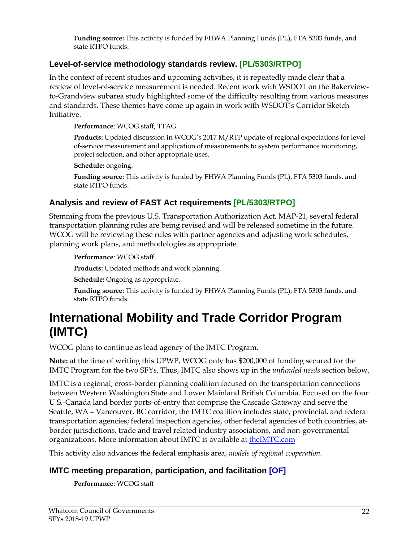**Funding source:** This activity is funded by FHWA Planning Funds (PL), FTA 5303 funds, and state RTPO funds.

#### **Level-of-service methodology standards review. [PL/5303/RTPO]**

In the context of recent studies and upcoming activities, it is repeatedly made clear that a review of level-of-service measurement is needed. Recent work with WSDOT on the Bakerviewto-Grandview subarea study highlighted some of the difficulty resulting from various measures and standards. These themes have come up again in work with WSDOT's Corridor Sketch Initiative.

**Performance**: WCOG staff, TTAG

**Products:** Updated discussion in WCOG's 2017 M/RTP update of regional expectations for levelof-service measurement and application of measurements to system performance monitoring, project selection, and other appropriate uses.

**Schedule:** ongoing.

**Funding source:** This activity is funded by FHWA Planning Funds (PL), FTA 5303 funds, and state RTPO funds.

#### **Analysis and review of FAST Act requirements [PL/5303/RTPO]**

Stemming from the previous U.S. Transportation Authorization Act, MAP-21, several federal transportation planning rules are being revised and will be released sometime in the future. WCOG will be reviewing these rules with partner agencies and adjusting work schedules, planning work plans, and methodologies as appropriate.

**Performance**: WCOG staff

**Products:** Updated methods and work planning.

**Schedule:** Ongoing as appropriate.

**Funding source:** This activity is funded by FHWA Planning Funds (PL), FTA 5303 funds, and state RTPO funds.

### **International Mobility and Trade Corridor Program (IMTC)**

WCOG plans to continue as lead agency of the IMTC Program.

**Note:** at the time of writing this UPWP, WCOG only has \$200,000 of funding secured for the IMTC Program for the two SFYs. Thus, IMTC also shows up in the *unfunded needs* section below.

IMTC is a regional, cross-border planning coalition focused on the transportation connections between Western Washington State and Lower Mainland British Columbia. Focused on the four U.S.-Canada land border ports-of-entry that comprise the Cascade Gateway and serve the Seattle, WA – Vancouver, BC corridor, the IMTC coalition includes state, provincial, and federal transportation agencies; federal inspection agencies, other federal agencies of both countries, atborder jurisdictions, trade and travel related industry associations, and non-governmental organizations. More information about IMTC is available at theIMTC.com

This activity also advances the federal emphasis area, *models of regional cooperation*.

#### **IMTC meeting preparation, participation, and facilitation [OF]**

**Performance**: WCOG staff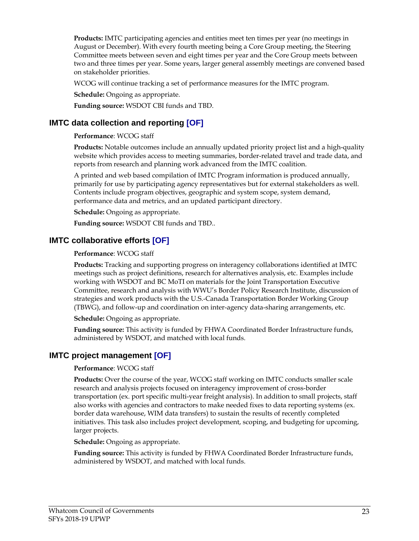**Products:** IMTC participating agencies and entities meet ten times per year (no meetings in August or December). With every fourth meeting being a Core Group meeting, the Steering Committee meets between seven and eight times per year and the Core Group meets between two and three times per year. Some years, larger general assembly meetings are convened based on stakeholder priorities.

WCOG will continue tracking a set of performance measures for the IMTC program.

**Schedule:** Ongoing as appropriate.

**Funding source:** WSDOT CBI funds and TBD.

#### **IMTC data collection and reporting [OF]**

#### **Performance**: WCOG staff

**Products:** Notable outcomes include an annually updated priority project list and a high-quality website which provides access to meeting summaries, border-related travel and trade data, and reports from research and planning work advanced from the IMTC coalition.

A printed and web based compilation of IMTC Program information is produced annually, primarily for use by participating agency representatives but for external stakeholders as well. Contents include program objectives, geographic and system scope, system demand, performance data and metrics, and an updated participant directory.

**Schedule:** Ongoing as appropriate.

**Funding source:** WSDOT CBI funds and TBD..

#### **IMTC collaborative efforts [OF]**

#### **Performance**: WCOG staff

**Products:** Tracking and supporting progress on interagency collaborations identified at IMTC meetings such as project definitions, research for alternatives analysis, etc. Examples include working with WSDOT and BC MoTI on materials for the Joint Transportation Executive Committee, research and analysis with WWU's Border Policy Research Institute, discussion of strategies and work products with the U.S.-Canada Transportation Border Working Group (TBWG), and follow-up and coordination on inter-agency data-sharing arrangements, etc.

**Schedule:** Ongoing as appropriate.

**Funding source:** This activity is funded by FHWA Coordinated Border Infrastructure funds, administered by WSDOT, and matched with local funds.

#### **IMTC project management [OF]**

#### **Performance**: WCOG staff

**Products:** Over the course of the year, WCOG staff working on IMTC conducts smaller scale research and analysis projects focused on interagency improvement of cross-border transportation (ex. port specific multi-year freight analysis). In addition to small projects, staff also works with agencies and contractors to make needed fixes to data reporting systems (ex. border data warehouse, WIM data transfers) to sustain the results of recently completed initiatives. This task also includes project development, scoping, and budgeting for upcoming, larger projects.

**Schedule:** Ongoing as appropriate.

**Funding source:** This activity is funded by FHWA Coordinated Border Infrastructure funds, administered by WSDOT, and matched with local funds.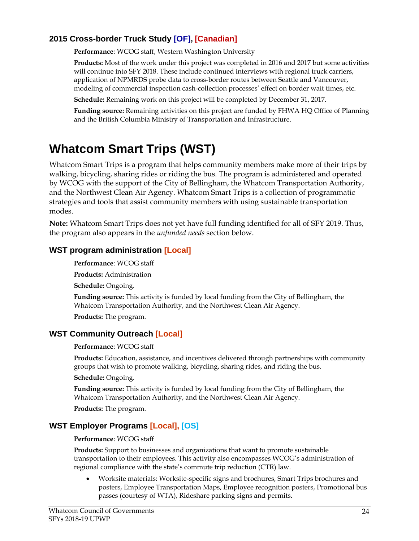#### **2015 Cross-border Truck Study [OF], [Canadian]**

**Performance**: WCOG staff, Western Washington University

**Products:** Most of the work under this project was completed in 2016 and 2017 but some activities will continue into SFY 2018. These include continued interviews with regional truck carriers, application of NPMRDS probe data to cross-border routes between Seattle and Vancouver, modeling of commercial inspection cash-collection processes' effect on border wait times, etc.

**Schedule:** Remaining work on this project will be completed by December 31, 2017.

**Funding source:** Remaining activities on this project are funded by FHWA HQ Office of Planning and the British Columbia Ministry of Transportation and Infrastructure.

## **Whatcom Smart Trips (WST)**

Whatcom Smart Trips is a program that helps community members make more of their trips by walking, bicycling, sharing rides or riding the bus. The program is administered and operated by WCOG with the support of the City of Bellingham, the Whatcom Transportation Authority, and the Northwest Clean Air Agency. Whatcom Smart Trips is a collection of programmatic strategies and tools that assist community members with using sustainable transportation modes.

**Note:** Whatcom Smart Trips does not yet have full funding identified for all of SFY 2019. Thus, the program also appears in the *unfunded needs* section below.

#### **WST program administration [Local]**

**Performance**: WCOG staff

**Products:** Administration

**Schedule:** Ongoing.

**Funding source:** This activity is funded by local funding from the City of Bellingham, the Whatcom Transportation Authority, and the Northwest Clean Air Agency.

**Products:** The program.

#### **WST Community Outreach [Local]**

#### **Performance**: WCOG staff

**Products:** Education, assistance, and incentives delivered through partnerships with community groups that wish to promote walking, bicycling, sharing rides, and riding the bus.

**Schedule:** Ongoing.

**Funding source:** This activity is funded by local funding from the City of Bellingham, the Whatcom Transportation Authority, and the Northwest Clean Air Agency.

**Products:** The program.

#### **WST Employer Programs [Local], [OS]**

#### **Performance**: WCOG staff

**Products:** Support to businesses and organizations that want to promote sustainable transportation to their employees. This activity also encompasses WCOG's administration of regional compliance with the state's commute trip reduction (CTR) law.

 Worksite materials: Worksite-specific signs and brochures, Smart Trips brochures and posters, Employee Transportation Maps, Employee recognition posters, Promotional bus passes (courtesy of WTA), Rideshare parking signs and permits.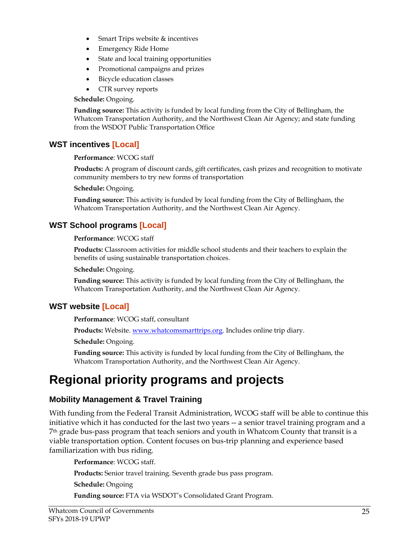- Smart Trips website & incentives
- Emergency Ride Home
- State and local training opportunities
- Promotional campaigns and prizes
- Bicycle education classes
- CTR survey reports

**Schedule:** Ongoing.

**Funding source:** This activity is funded by local funding from the City of Bellingham, the Whatcom Transportation Authority, and the Northwest Clean Air Agency; and state funding from the WSDOT Public Transportation Office

#### **WST incentives [Local]**

#### **Performance**: WCOG staff

**Products:** A program of discount cards, gift certificates, cash prizes and recognition to motivate community members to try new forms of transportation

**Schedule:** Ongoing.

**Funding source:** This activity is funded by local funding from the City of Bellingham, the Whatcom Transportation Authority, and the Northwest Clean Air Agency.

#### **WST School programs [Local]**

#### **Performance**: WCOG staff

**Products:** Classroom activities for middle school students and their teachers to explain the benefits of using sustainable transportation choices.

**Schedule:** Ongoing.

**Funding source:** This activity is funded by local funding from the City of Bellingham, the Whatcom Transportation Authority, and the Northwest Clean Air Agency.

#### **WST website [Local]**

**Performance**: WCOG staff, consultant

Products: Website. www.whatcomsmarttrips.org. Includes online trip diary.

**Schedule:** Ongoing.

**Funding source:** This activity is funded by local funding from the City of Bellingham, the Whatcom Transportation Authority, and the Northwest Clean Air Agency.

## **Regional priority programs and projects**

#### **Mobility Management & Travel Training**

With funding from the Federal Transit Administration, WCOG staff will be able to continue this initiative which it has conducted for the last two years -- a senior travel training program and a 7th grade bus-pass program that teach seniors and youth in Whatcom County that transit is a viable transportation option. Content focuses on bus-trip planning and experience based familiarization with bus riding.

**Performance**: WCOG staff. **Products:** Senior travel training. Seventh grade bus pass program. **Schedule:** Ongoing

**Funding source:** FTA via WSDOT's Consolidated Grant Program.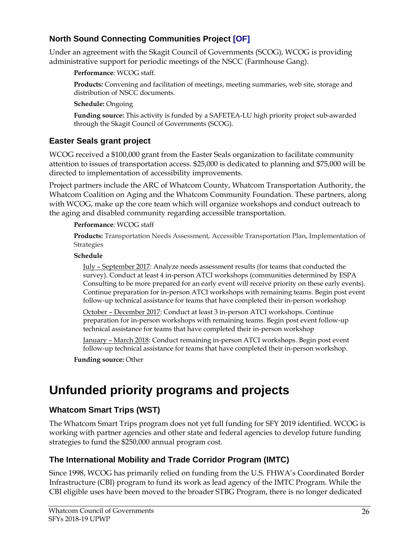#### **North Sound Connecting Communities Project [OF]**

Under an agreement with the Skagit Council of Governments (SCOG), WCOG is providing administrative support for periodic meetings of the NSCC (Farmhouse Gang).

**Performance**: WCOG staff.

**Products:** Convening and facilitation of meetings, meeting summaries, web site, storage and distribution of NSCC documents.

**Schedule:** Ongoing

**Funding source:** This activity is funded by a SAFETEA-LU high priority project sub-awarded through the Skagit Council of Governments (SCOG).

#### **Easter Seals grant project**

WCOG received a \$100,000 grant from the Easter Seals organization to facilitate community attention to issues of transportation access. \$25,000 is dedicated to planning and \$75,000 will be directed to implementation of accessibility improvements.

Project partners include the ARC of Whatcom County, Whatcom Transportation Authority, the Whatcom Coalition on Aging and the Whatcom Community Foundation. These partners, along with WCOG, make up the core team which will organize workshops and conduct outreach to the aging and disabled community regarding accessible transportation.

#### **Performance**: WCOG staff

**Products:** Transportation Needs Assessment, Accessible Transportation Plan, Implementation of Strategies

#### **Schedule**

July – September 2017: Analyze needs assessment results (for teams that conducted the survey). Conduct at least 4 in-person ATCI workshops (communities determined by ESPA Consulting to be more prepared for an early event will receive priority on these early events). Continue preparation for in-person ATCI workshops with remaining teams. Begin post event follow-up technical assistance for teams that have completed their in-person workshop

October – December 2017: Conduct at least 3 in-person ATCI workshops. Continue preparation for in-person workshops with remaining teams. Begin post event follow-up technical assistance for teams that have completed their in-person workshop

January – March 2018: Conduct remaining in-person ATCI workshops. Begin post event follow-up technical assistance for teams that have completed their in-person workshop.

**Funding source:** Other

## **Unfunded priority programs and projects**

#### **Whatcom Smart Trips (WST)**

The Whatcom Smart Trips program does not yet full funding for SFY 2019 identified. WCOG is working with partner agencies and other state and federal agencies to develop future funding strategies to fund the \$250,000 annual program cost.

#### **The International Mobility and Trade Corridor Program (IMTC)**

Since 1998, WCOG has primarily relied on funding from the U.S. FHWA's Coordinated Border Infrastructure (CBI) program to fund its work as lead agency of the IMTC Program. While the CBI eligible uses have been moved to the broader STBG Program, there is no longer dedicated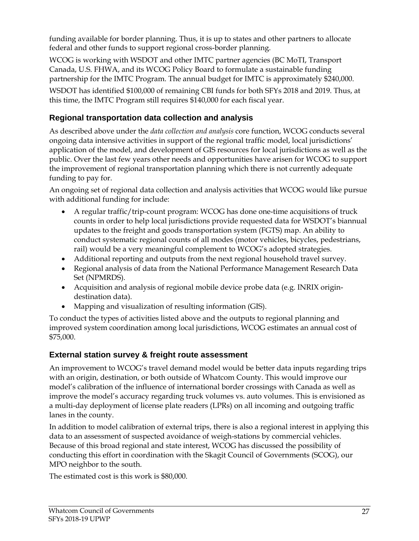funding available for border planning. Thus, it is up to states and other partners to allocate federal and other funds to support regional cross-border planning.

WCOG is working with WSDOT and other IMTC partner agencies (BC MoTI, Transport Canada, U.S. FHWA, and its WCOG Policy Board to formulate a sustainable funding partnership for the IMTC Program. The annual budget for IMTC is approximately \$240,000.

WSDOT has identified \$100,000 of remaining CBI funds for both SFYs 2018 and 2019. Thus, at this time, the IMTC Program still requires \$140,000 for each fiscal year.

#### **Regional transportation data collection and analysis**

As described above under the *data collection and analysis* core function, WCOG conducts several ongoing data intensive activities in support of the regional traffic model, local jurisdictions' application of the model, and development of GIS resources for local jurisdictions as well as the public. Over the last few years other needs and opportunities have arisen for WCOG to support the improvement of regional transportation planning which there is not currently adequate funding to pay for.

An ongoing set of regional data collection and analysis activities that WCOG would like pursue with additional funding for include:

- A regular traffic/trip-count program: WCOG has done one-time acquisitions of truck counts in order to help local jurisdictions provide requested data for WSDOT's biannual updates to the freight and goods transportation system (FGTS) map. An ability to conduct systematic regional counts of all modes (motor vehicles, bicycles, pedestrians, rail) would be a very meaningful complement to WCOG's adopted strategies.
- Additional reporting and outputs from the next regional household travel survey.
- Regional analysis of data from the National Performance Management Research Data Set (NPMRDS).
- Acquisition and analysis of regional mobile device probe data (e.g. INRIX origindestination data).
- Mapping and visualization of resulting information (GIS).

To conduct the types of activities listed above and the outputs to regional planning and improved system coordination among local jurisdictions, WCOG estimates an annual cost of \$75,000.

#### **External station survey & freight route assessment**

An improvement to WCOG's travel demand model would be better data inputs regarding trips with an origin, destination, or both outside of Whatcom County. This would improve our model's calibration of the influence of international border crossings with Canada as well as improve the model's accuracy regarding truck volumes vs. auto volumes. This is envisioned as a multi-day deployment of license plate readers (LPRs) on all incoming and outgoing traffic lanes in the county.

In addition to model calibration of external trips, there is also a regional interest in applying this data to an assessment of suspected avoidance of weigh-stations by commercial vehicles. Because of this broad regional and state interest, WCOG has discussed the possibility of conducting this effort in coordination with the Skagit Council of Governments (SCOG), our MPO neighbor to the south.

The estimated cost is this work is \$80,000.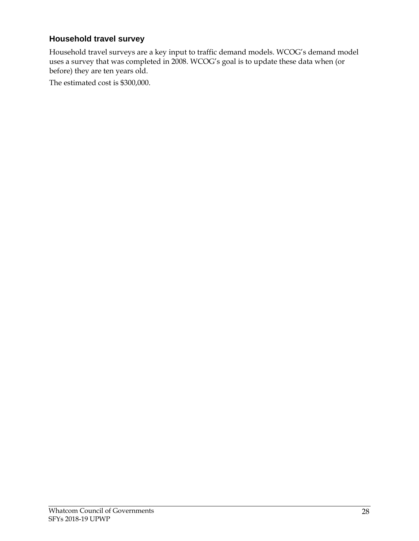#### **Household travel survey**

Household travel surveys are a key input to traffic demand models. WCOG's demand model uses a survey that was completed in 2008. WCOG's goal is to update these data when (or before) they are ten years old.

The estimated cost is \$300,000.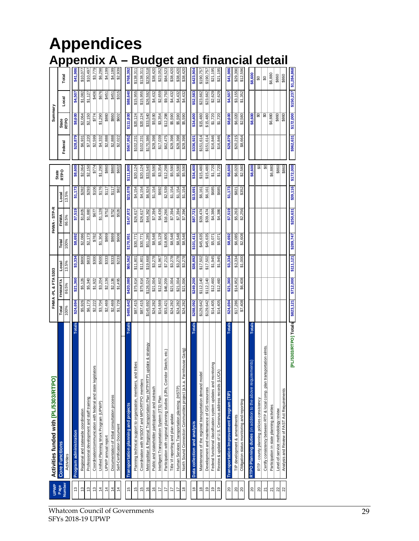## **Appendices Appendix A – Budget and financial detail**

| <b>UPWP</b>                     | Activities funded with [PL/5303/RTPO]                                             |                     | FHWA-PL & FTA 5303  |                    |                    | FHWA-STP-R         |          |                    |           | Summary                  |                    |                       |
|---------------------------------|-----------------------------------------------------------------------------------|---------------------|---------------------|--------------------|--------------------|--------------------|----------|--------------------|-----------|--------------------------|--------------------|-----------------------|
| Page                            | <b>Core Functions</b>                                                             | Total               | FHWA/FTA            | Local              | Total              | FHWA               | Local    | State<br>RTPO      | Federal   | State<br>RTPO            | Local              | Total                 |
| Number                          | Activities                                                                        | 100%                | 86.5%               | 13.5%              | 100%               | 86.5%              | 13.5%    |                    |           |                          |                    |                       |
| 13                              | Totals<br>Program administration                                                  | \$24,694            | \$21,360            | \$3,334            | \$8,692            | \$7,519            | \$1,173  | \$8,600            | \$28,879  | \$8,600                  | \$4,507            | \$41,986              |
| 13                              | Regional and statewide coordination                                               | \$5,926             | \$5,126             | \$800              | \$2,086            | \$1,805            | \$282    | \$2,064            | \$6,931   | \$2,064                  | \$1,082            | \$10,077              |
| \$                              | Professional development and staff training                                       | \$6,173             | \$5,340             | \$833              | \$2,173            | \$1,880            | \$293    | \$2,150            | \$7,220   | \$2,150                  | \$1,127            | \$10,497              |
| $\tilde{c}$                     | Coordination/communication with federal and state legislators                     | \$2,222             | \$1,922             | \$300              | \$782              | \$677              | \$106    | \$774              | \$2,599   | \$774                    | \$406              | \$3,779               |
| $\frac{4}{3}$                   | Unified Planning Work Program (UPWP)                                              | \$3,704             | \$3,204             | \$500              | \$1,304            | \$1,128            | \$176    | \$1,290            | \$4,332   | \$1,290                  | \$676              | \$6,298               |
| $\frac{4}{3}$                   | UPWP annual report                                                                | \$2,469             | \$2,136             | \$333              | \$869              | \$752              | \$117    | \$860              | \$2,888   | \$860                    | \$451              | \$4,199               |
| $\ddot{ }$                      | Documentation of tribal consultation process                                      | \$2,469             | \$2,136             | \$333              | \$869              | \$752              | \$117    | \$860              | \$2,888   | \$860                    | \$451              | \$4,199               |
| 4                               | Self-Certification Document                                                       | \$1,729             | \$1,495             | \$233              | \$608              | \$526              | \$82     | \$602              | \$2,022   | \$602                    | \$315              | \$2,939               |
|                                 |                                                                                   |                     |                     | \$65,562           | \$170,951          |                    |          |                    | \$567,952 | \$111,800                |                    |                       |
| $\frac{6}{2}$                   | <b>Totals</b><br>Transportation planning and projects                             | \$485,642           | \$420,080           |                    |                    | \$147,872          | \$23,078 | \$111,800          |           |                          | \$88,640           | \$768,392             |
| $\frac{5}{2}$                   | Planning technical support to organization, members, and tribes                   | \$87,415            | \$75,614            | \$11,801           | \$30,771           | \$26,617           | \$4,154  | \$20,124           | \$102,231 | \$20,124                 | \$15,955           | \$138,311             |
| 15                              | Coordination with WSDOT and MPO/RTPO members                                      | \$87,415            | \$75,614            | \$11,801           | \$30,771           | \$26,617           | \$4,154  | \$20,124           | \$102,231 | \$20,124                 | \$15,955           | \$138,311             |
| $\frac{6}{2}$                   | update & strategy<br>Metropolitan & Regional Transportation Plan (MTP/RTP)        | \$145,692           | \$126,024           | \$19,668           | \$51,285           | \$44,362           | \$6,924  | \$33,540           | \$170,386 | \$33,540                 | \$26,592           | \$230,518             |
| $\frac{6}{2}$                   | Public and stakeholder participation and outreach                                 | \$24,282            | \$21,004            | \$3,278            | \$8,548            | \$7,394            | \$1,154  | \$5,590            | \$28,398  | \$5,590                  | \$4,432            | \$38,420              |
| 17                              | Intelligent Transportation System (ITS) Plan                                      | \$14,569            | \$12,602            | \$1,967            | \$5,129            | \$4,436            | \$692    | \$3,354            | \$17,039  | \$3,354                  | \$2,659            | \$23,052              |
| 1,                              | Participation with regional planning studies (IJRs, Corridor Sketch, etc.)        | \$53,421            | \$46,209            | \$7,212            | \$18,805           | \$16,266           | \$2,539  | \$12,298           | \$62,475  | \$12,298                 | \$9,750            | \$84,523              |
| 17                              | Title VI reporting and plan update                                                | \$24,282            | \$21,004            | \$3,278            | \$8,548            | \$7,394            | \$1,154  | \$5,590            | \$28,398  | \$5,590                  | \$4,432            | \$38,420              |
| 17                              | Human Services Transportation planning (HSTP)                                     | \$24,282            | \$21,004            | \$3,278            | \$8,548            | \$7,394            | \$1,154  | \$5,590            | \$28,398  | \$5,590                  | \$4,432            | \$38,420              |
| $\frac{8}{3}$                   | mhouse Gang<br>North Sound Connection Communities project (a.k.a. Far             | \$24,282            | \$21,004            | \$3,278            | \$8,548            | \$7,394            | \$1,154  | \$5,590            | \$28,398  | \$5,590                  | \$4,432            | \$38,420              |
|                                 |                                                                                   |                     |                     |                    |                    |                    |          |                    |           |                          |                    |                       |
| $\frac{8}{3}$                   | <b>Totals</b><br>Data collection and analysis                                     | \$288,092           | \$249,200           | \$38,892           | \$101,411          | \$87,721           | \$13,691 | \$34,400           | \$336,921 | \$34,400                 | \$52,583           | \$423,904             |
| $\overset{\circ}{\phantom{a}}$  | Maintenance of the regional transportation demand mode                            | \$129,642           | \$112,140           | \$17,502           | \$45,635           | \$39,474           | \$6,161  | \$15,480           | \$151,614 | \$15,480                 | \$23,662           | \$190,757             |
| $\frac{1}{2}$                   | Development and maintenance of GIS resources                                      | \$129,642           | \$112,140           | \$17,502           | \$45,635           | \$39,474           | \$6,161  | \$15,480           | \$151,614 | \$15,480                 | \$23,662           | \$190,757             |
| $\overline{9}$                  | Federal functional classification system updates and monitoring                   | \$14,405            | \$12,460            | \$1,945            | \$5,071            | \$4,386            | \$685    | \$1,720            | \$16,846  | \$1,720                  | \$2,629            | \$21,195              |
| $\frac{9}{2}$                   | ₹<br>Review & update of U.S. Censnus address records (LUC                         | \$14,405            | \$12,460            | \$1,945            | \$5,071            | \$4,386            | \$685    | \$1,720            | \$16,846  | \$1,720                  | \$2,629            | \$21,195              |
| $\approx$                       | <b>Totals</b><br>Transportation Improvement Program (TIP)                         | \$24,694            | \$21,360            | \$3,334            | \$8,692            | \$7,519            | \$1,173  | \$8,600            | \$28,879  | \$8,600                  | \$4,507            | \$41,986              |
|                                 | TIP development & amendments                                                      |                     |                     |                    |                    |                    | \$821    |                    | \$20,215  |                          |                    |                       |
| $\mathsf{S}$<br>$\overline{20}$ |                                                                                   | \$17,286<br>\$7,408 | \$6,408<br>\$14,952 | \$2,334<br>\$1,000 | \$2,608<br>\$6,085 | \$2,256<br>\$5,263 | \$352    | \$6,020<br>\$2,580 | \$8,664   | \$6,020                  | \$3,155<br>\$1,352 | \$29,390<br>\$12,596  |
|                                 | Obligation status monitoring and reporting                                        |                     |                     |                    |                    |                    |          |                    |           |                          |                    |                       |
| $\approx$                       | <b>Totals</b><br>ments)<br>RTPO Planning duties (in addition to the above require |                     |                     |                    |                    |                    |          | \$8,600            |           | \$8,600                  |                    | \$8,600               |
| $\Omega$                        | RTP - county planning policies consistency                                        |                     |                     |                    |                    |                    |          | ଌ                  |           | $\overline{\mathcal{S}}$ |                    | S                     |
| 21                              | sportation elmts.<br>Certify consistency between RTP & local comp. plan tran      |                     |                     |                    |                    |                    |          | ္တ                 |           | $\overline{\mathcal{G}}$ |                    | S                     |
| 21                              | Participation in state planning activities                                        |                     |                     |                    |                    |                    |          | \$6,880            |           | \$6,880                  |                    | \$6,880               |
| 2                               | Level-of-service methodology review                                               |                     |                     |                    |                    |                    |          | \$860              |           | \$860                    |                    | \$860                 |
| 22                              | Analysis and Review of FAST Act Requirements                                      |                     |                     |                    |                    |                    |          | \$860              |           | \$860                    |                    | \$860                 |
|                                 | [PL/5303/RTPO] Totals \$823,121                                                   |                     | \$712,000           | \$111,121          | \$289,747          | \$250,631          | \$39,116 | \$172,000          | \$962,631 | \$172,000                |                    | \$150,237 \$1,284,868 |
|                                 |                                                                                   |                     |                     |                    |                    |                    |          |                    |           |                          |                    |                       |